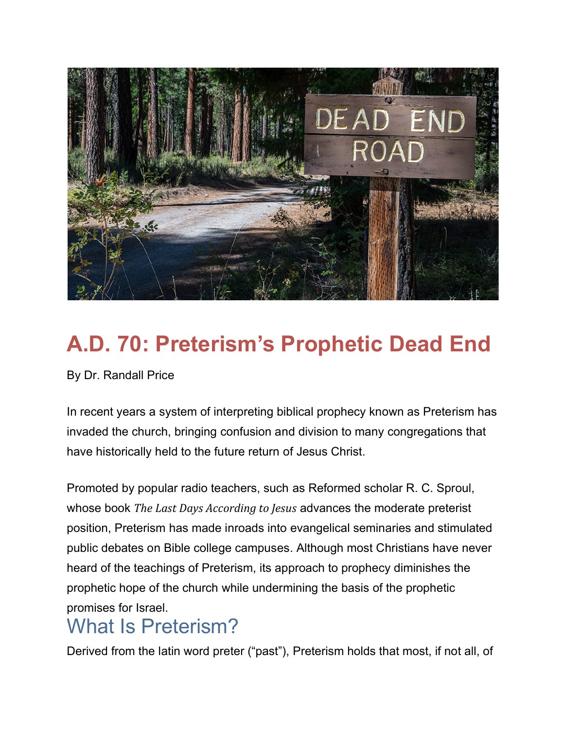

# **A.D. 70: Preterism's Prophetic Dead End**

By Dr. Randall Price

In recent years a system of interpreting biblical prophecy known as Preterism has invaded the church, bringing confusion and division to many congregations that have historically held to the future return of Jesus Christ.

Promoted by popular radio teachers, such as Reformed scholar R. C. Sproul, whose book *The Last Days According to Jesus* advances the moderate preterist position, Preterism has made inroads into evangelical seminaries and stimulated public debates on Bible college campuses. Although most Christians have never heard of the teachings of Preterism, its approach to prophecy diminishes the prophetic hope of the church while undermining the basis of the prophetic promises for Israel.

## What Is Preterism?

Derived from the latin word preter ("past"), Preterism holds that most, if not all, of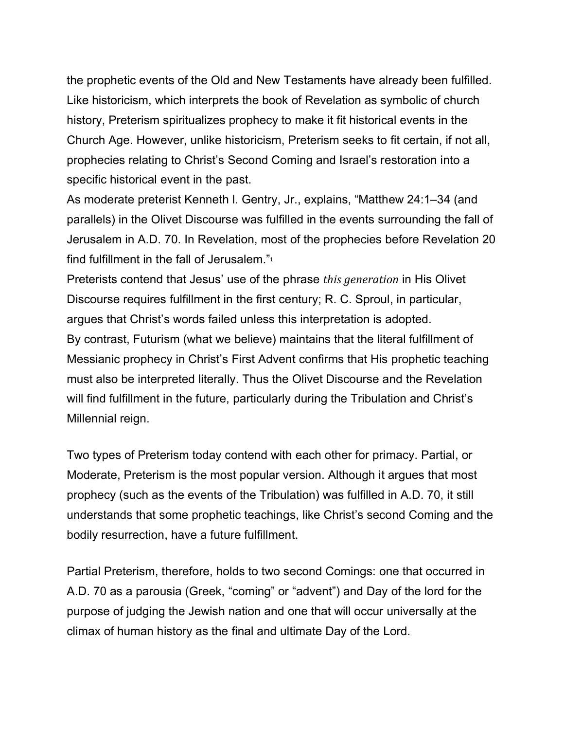the prophetic events of the Old and New Testaments have already been fulfilled. Like historicism, which interprets the book of Revelation as symbolic of church history, Preterism spiritualizes prophecy to make it fit historical events in the Church Age. However, unlike historicism, Preterism seeks to fit certain, if not all, prophecies relating to Christ's Second Coming and Israel's restoration into a specific historical event in the past.

As moderate preterist Kenneth l. Gentry, Jr., explains, "Matthew 24:1–34 (and parallels) in the Olivet Discourse was fulfilled in the events surrounding the fall of Jerusalem in A.D. 70. In Revelation, most of the prophecies before Revelation 20 find fulfillment in the fall of Jerusalem."<sup>1</sup>

Preterists contend that Jesus' use of the phrase *this generation* in His Olivet Discourse requires fulfillment in the first century; R. C. Sproul, in particular, argues that Christ's words failed unless this interpretation is adopted. By contrast, Futurism (what we believe) maintains that the literal fulfillment of Messianic prophecy in Christ's First Advent confirms that His prophetic teaching must also be interpreted literally. Thus the Olivet Discourse and the Revelation will find fulfillment in the future, particularly during the Tribulation and Christ's Millennial reign.

Two types of Preterism today contend with each other for primacy. Partial, or Moderate, Preterism is the most popular version. Although it argues that most prophecy (such as the events of the Tribulation) was fulfilled in A.D. 70, it still understands that some prophetic teachings, like Christ's second Coming and the bodily resurrection, have a future fulfillment.

Partial Preterism, therefore, holds to two second Comings: one that occurred in A.D. 70 as a parousia (Greek, "coming" or "advent") and Day of the lord for the purpose of judging the Jewish nation and one that will occur universally at the climax of human history as the final and ultimate Day of the Lord.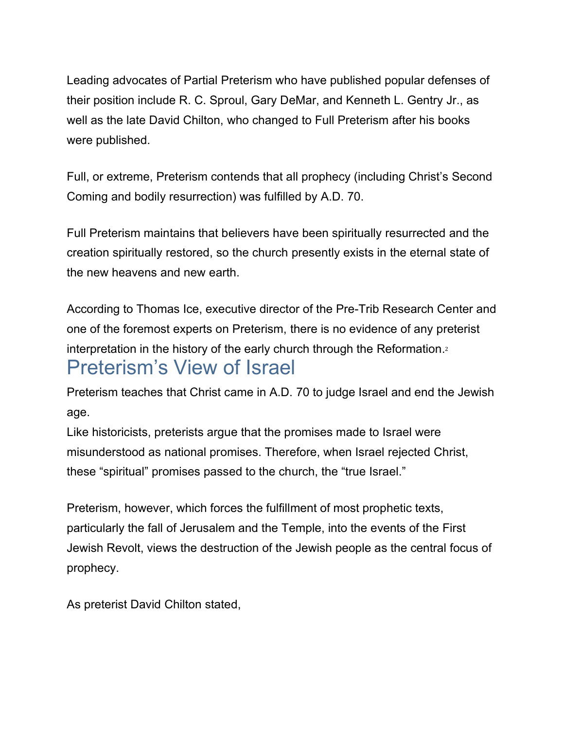Leading advocates of Partial Preterism who have published popular defenses of their position include R. C. Sproul, Gary DeMar, and Kenneth L. Gentry Jr., as well as the late David Chilton, who changed to Full Preterism after his books were published.

Full, or extreme, Preterism contends that all prophecy (including Christ's Second Coming and bodily resurrection) was fulfilled by A.D. 70.

Full Preterism maintains that believers have been spiritually resurrected and the creation spiritually restored, so the church presently exists in the eternal state of the new heavens and new earth.

According to Thomas Ice, executive director of the Pre-Trib Research Center and one of the foremost experts on Preterism, there is no evidence of any preterist interpretation in the history of the early church through the Reformation.<sup>2</sup> Preterism's View of Israel

Preterism teaches that Christ came in A.D. 70 to judge Israel and end the Jewish age.

Like historicists, preterists argue that the promises made to Israel were misunderstood as national promises. Therefore, when Israel rejected Christ, these "spiritual" promises passed to the church, the "true Israel."

Preterism, however, which forces the fulfillment of most prophetic texts, particularly the fall of Jerusalem and the Temple, into the events of the First Jewish Revolt, views the destruction of the Jewish people as the central focus of prophecy.

As preterist David Chilton stated,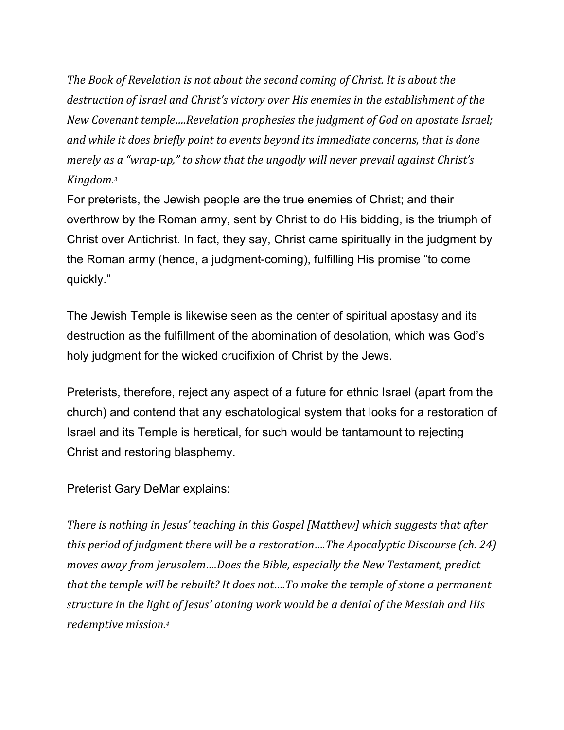*The Book of Revelation is not about the second coming of Christ. It is about the destruction of Israel and Christ's victory over His enemies in the establishment of the New Covenant temple….Revelation prophesies the judgment of God on apostate Israel; and while it does briefly point to events beyond its immediate concerns, that is done merely as a "wrap-up," to show that the ungodly will never prevail against Christ's Kingdom.3*

For preterists, the Jewish people are the true enemies of Christ; and their overthrow by the Roman army, sent by Christ to do His bidding, is the triumph of Christ over Antichrist. In fact, they say, Christ came spiritually in the judgment by the Roman army (hence, a judgment-coming), fulfilling His promise "to come quickly."

The Jewish Temple is likewise seen as the center of spiritual apostasy and its destruction as the fulfillment of the abomination of desolation, which was God's holy judgment for the wicked crucifixion of Christ by the Jews.

Preterists, therefore, reject any aspect of a future for ethnic Israel (apart from the church) and contend that any eschatological system that looks for a restoration of Israel and its Temple is heretical, for such would be tantamount to rejecting Christ and restoring blasphemy.

Preterist Gary DeMar explains:

*There is nothing in Jesus' teaching in this Gospel [Matthew] which suggests that after this period of judgment there will be a restoration….The Apocalyptic Discourse (ch. 24) moves away from Jerusalem….Does the Bible, especially the New Testament, predict that the temple will be rebuilt? It does not….To make the temple of stone a permanent structure in the light of Jesus' atoning work would be a denial of the Messiah and His redemptive mission.4*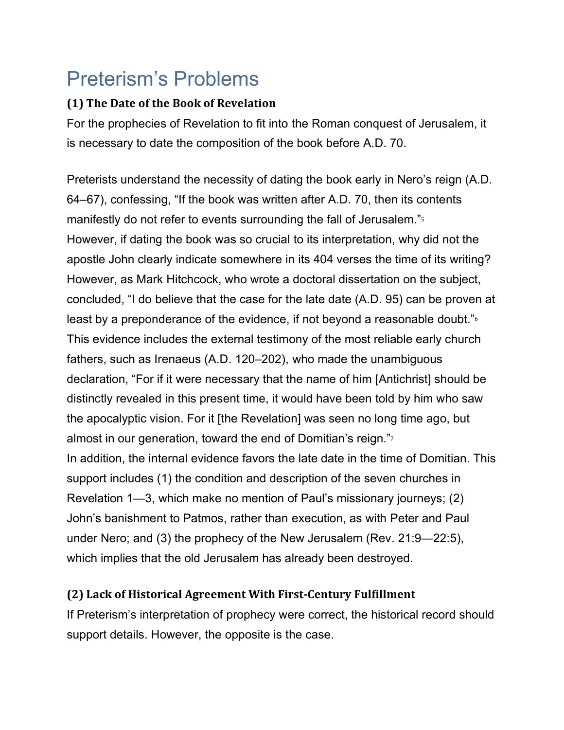# Preterism's Problems

#### **(1) The Date of the Book of Revelation**

For the prophecies of Revelation to fit into the Roman conquest of Jerusalem, it is necessary to date the composition of the book before A.D. 70.

Preterists understand the necessity of dating the book early in Nero's reign (A.D. 64–67), confessing, "If the book was written after A.D. 70, then its contents manifestly do not refer to events surrounding the fall of Jerusalem."<sup>5</sup> However, if dating the book was so crucial to its interpretation, why did not the apostle John clearly indicate somewhere in its 404 verses the time of its writing? However, as Mark Hitchcock, who wrote a doctoral dissertation on the subject, concluded, "I do believe that the case for the late date (A.D. 95) can be proven at least by a preponderance of the evidence, if not beyond a reasonable doubt."<sup>6</sup> This evidence includes the external testimony of the most reliable early church fathers, such as Irenaeus (A.D. 120–202), who made the unambiguous declaration, "For if it were necessary that the name of him [Antichrist] should be distinctly revealed in this present time, it would have been told by him who saw the apocalyptic vision. For it [the Revelation] was seen no long time ago, but almost in our generation, toward the end of Domitian's reign."<sup>7</sup> In addition, the internal evidence favors the late date in the time of Domitian. This support includes (1) the condition and description of the seven churches in Revelation 1—3, which make no mention of Paul's missionary journeys; (2) John's banishment to Patmos, rather than execution, as with Peter and Paul under Nero; and (3) the prophecy of the New Jerusalem (Rev. 21:9—22:5), which implies that the old Jerusalem has already been destroyed.

#### **(2) Lack of Historical Agreement With First-Century Fulfillment**

If Preterism's interpretation of prophecy were correct, the historical record should support details. However, the opposite is the case.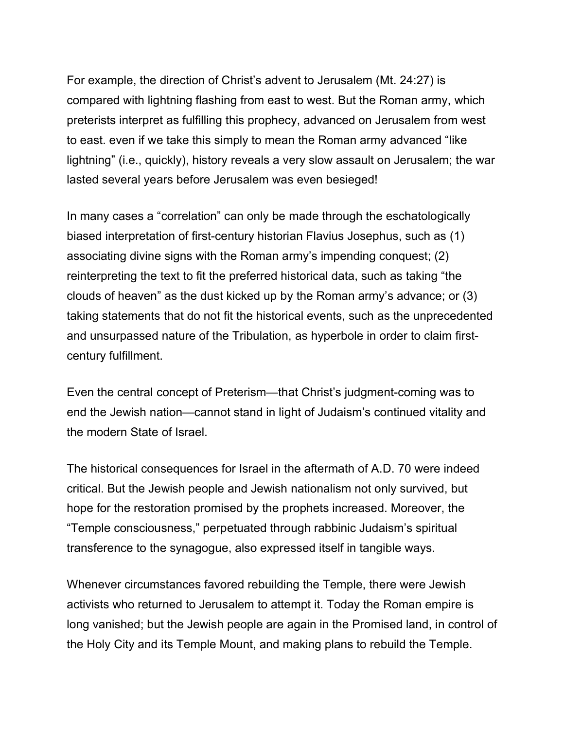For example, the direction of Christ's advent to Jerusalem (Mt. 24:27) is compared with lightning flashing from east to west. But the Roman army, which preterists interpret as fulfilling this prophecy, advanced on Jerusalem from west to east. even if we take this simply to mean the Roman army advanced "like lightning" (i.e., quickly), history reveals a very slow assault on Jerusalem; the war lasted several years before Jerusalem was even besieged!

In many cases a "correlation" can only be made through the eschatologically biased interpretation of first-century historian Flavius Josephus, such as (1) associating divine signs with the Roman army's impending conquest; (2) reinterpreting the text to fit the preferred historical data, such as taking "the clouds of heaven" as the dust kicked up by the Roman army's advance; or (3) taking statements that do not fit the historical events, such as the unprecedented and unsurpassed nature of the Tribulation, as hyperbole in order to claim firstcentury fulfillment.

Even the central concept of Preterism—that Christ's judgment-coming was to end the Jewish nation—cannot stand in light of Judaism's continued vitality and the modern State of Israel.

The historical consequences for Israel in the aftermath of A.D. 70 were indeed critical. But the Jewish people and Jewish nationalism not only survived, but hope for the restoration promised by the prophets increased. Moreover, the "Temple consciousness," perpetuated through rabbinic Judaism's spiritual transference to the synagogue, also expressed itself in tangible ways.

Whenever circumstances favored rebuilding the Temple, there were Jewish activists who returned to Jerusalem to attempt it. Today the Roman empire is long vanished; but the Jewish people are again in the Promised land, in control of the Holy City and its Temple Mount, and making plans to rebuild the Temple.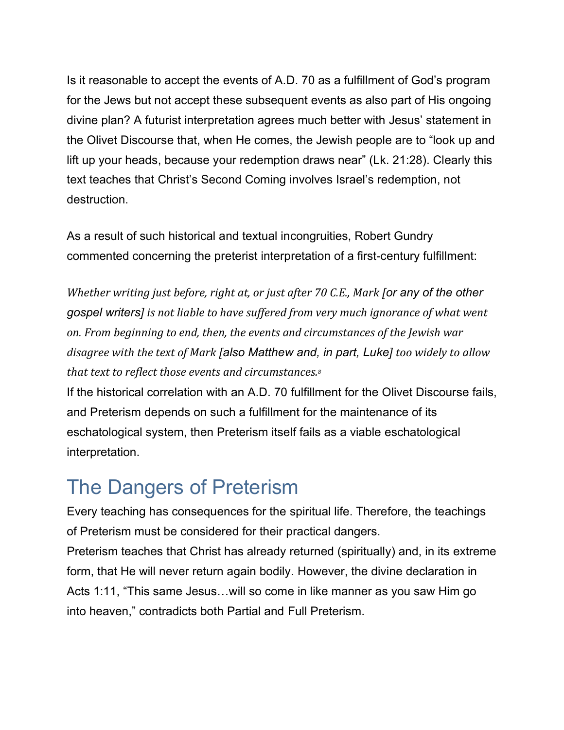Is it reasonable to accept the events of A.D. 70 as a fulfillment of God's program for the Jews but not accept these subsequent events as also part of His ongoing divine plan? A futurist interpretation agrees much better with Jesus' statement in the Olivet Discourse that, when He comes, the Jewish people are to "look up and lift up your heads, because your redemption draws near" (Lk. 21:28). Clearly this text teaches that Christ's Second Coming involves Israel's redemption, not destruction.

As a result of such historical and textual incongruities, Robert Gundry commented concerning the preterist interpretation of a first-century fulfillment:

*Whether writing just before, right at, or just after 70 C.E., Mark [or any of the other gospel writers] is not liable to have suffered from very much ignorance of what went on. From beginning to end, then, the events and circumstances of the Jewish war disagree with the text of Mark [also Matthew and, in part, Luke] too widely to allow that text to reflect those events and circumstances.8*

If the historical correlation with an A.D. 70 fulfillment for the Olivet Discourse fails, and Preterism depends on such a fulfillment for the maintenance of its eschatological system, then Preterism itself fails as a viable eschatological interpretation.

## The Dangers of Preterism

Every teaching has consequences for the spiritual life. Therefore, the teachings of Preterism must be considered for their practical dangers.

Preterism teaches that Christ has already returned (spiritually) and, in its extreme form, that He will never return again bodily. However, the divine declaration in Acts 1:11, "This same Jesus…will so come in like manner as you saw Him go into heaven," contradicts both Partial and Full Preterism.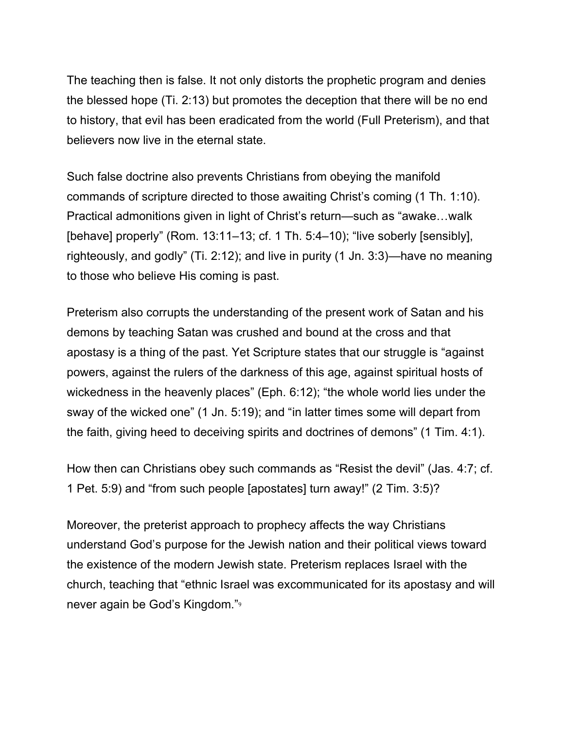The teaching then is false. It not only distorts the prophetic program and denies the blessed hope (Ti. 2:13) but promotes the deception that there will be no end to history, that evil has been eradicated from the world (Full Preterism), and that believers now live in the eternal state.

Such false doctrine also prevents Christians from obeying the manifold commands of scripture directed to those awaiting Christ's coming (1 Th. 1:10). Practical admonitions given in light of Christ's return—such as "awake…walk [behave] properly" (Rom. 13:11-13; cf. 1 Th. 5:4-10); "live soberly [sensibly], righteously, and godly" (Ti. 2:12); and live in purity (1 Jn. 3:3)—have no meaning to those who believe His coming is past.

Preterism also corrupts the understanding of the present work of Satan and his demons by teaching Satan was crushed and bound at the cross and that apostasy is a thing of the past. Yet Scripture states that our struggle is "against powers, against the rulers of the darkness of this age, against spiritual hosts of wickedness in the heavenly places" (Eph. 6:12); "the whole world lies under the sway of the wicked one" (1 Jn. 5:19); and "in latter times some will depart from the faith, giving heed to deceiving spirits and doctrines of demons" (1 Tim. 4:1).

How then can Christians obey such commands as "Resist the devil" (Jas. 4:7; cf. 1 Pet. 5:9) and "from such people [apostates] turn away!" (2 Tim. 3:5)?

Moreover, the preterist approach to prophecy affects the way Christians understand God's purpose for the Jewish nation and their political views toward the existence of the modern Jewish state. Preterism replaces Israel with the church, teaching that "ethnic Israel was excommunicated for its apostasy and will never again be God's Kingdom."9